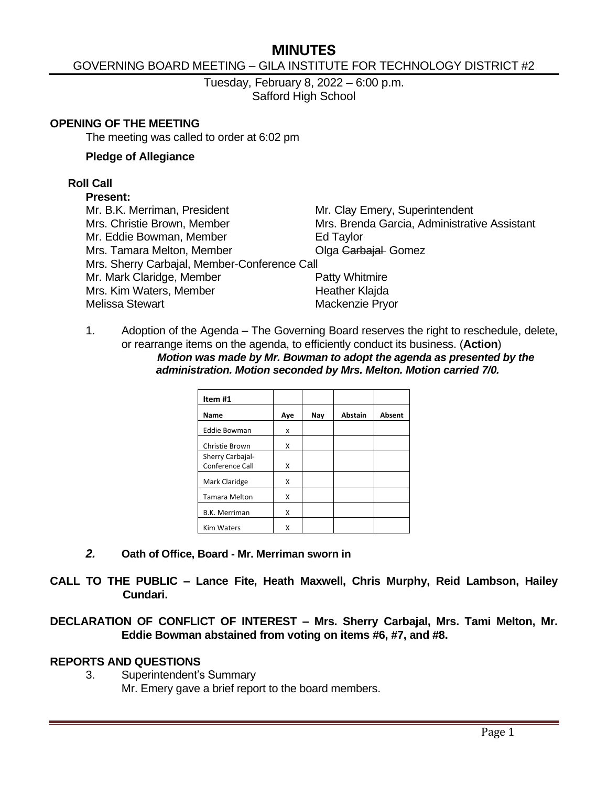# **MINUTES**

### GOVERNING BOARD MEETING – GILA INSTITUTE FOR TECHNOLOGY DISTRICT #2

Tuesday, February 8, 2022 – 6:00 p.m. Safford High School

#### **OPENING OF THE MEETING**

The meeting was called to order at 6:02 pm

#### **Pledge of Allegiance**

### **Roll Call**

### **Present:**

| Mr. B.K. Merriman, President                 | Mr. Clay Emery, Superintendent               |
|----------------------------------------------|----------------------------------------------|
| Mrs. Christie Brown, Member                  | Mrs. Brenda Garcia, Administrative Assistant |
| Mr. Eddie Bowman, Member                     | Ed Taylor                                    |
| Mrs. Tamara Melton, Member                   | Olga Garbajal- Gomez                         |
| Mrs. Sherry Carbajal, Member-Conference Call |                                              |
| Mr. Mark Claridge, Member                    | Patty Whitmire                               |
| Mrs. Kim Waters, Member                      | Heather Klajda                               |
| <b>Melissa Stewart</b>                       | Mackenzie Pryor                              |
|                                              |                                              |

1. Adoption of the Agenda – The Governing Board reserves the right to reschedule, delete, or rearrange items on the agenda, to efficiently conduct its business. (**Action**) *Motion was made by Mr. Bowman to adopt the agenda as presented by the administration. Motion seconded by Mrs. Melton. Motion carried 7/0.*

| Item #1              |     |     |                |        |
|----------------------|-----|-----|----------------|--------|
| Name                 | Aye | Nay | <b>Abstain</b> | Absent |
| <b>Eddie Bowman</b>  | x   |     |                |        |
| Christie Brown       | x   |     |                |        |
| Sherry Carbajal-     |     |     |                |        |
| Conference Call      | X   |     |                |        |
| Mark Claridge        | x   |     |                |        |
| <b>Tamara Melton</b> | x   |     |                |        |
| <b>B.K. Merriman</b> | x   |     |                |        |
| <b>Kim Waters</b>    | Χ   |     |                |        |

*2.* **Oath of Office, Board - Mr. Merriman sworn in**

**CALL TO THE PUBLIC – Lance Fite, Heath Maxwell, Chris Murphy, Reid Lambson, Hailey Cundari.**

**DECLARATION OF CONFLICT OF INTEREST – Mrs. Sherry Carbajal, Mrs. Tami Melton, Mr. Eddie Bowman abstained from voting on items #6, #7, and #8.**

### **REPORTS AND QUESTIONS**

3. Superintendent's Summary

Mr. Emery gave a brief report to the board members.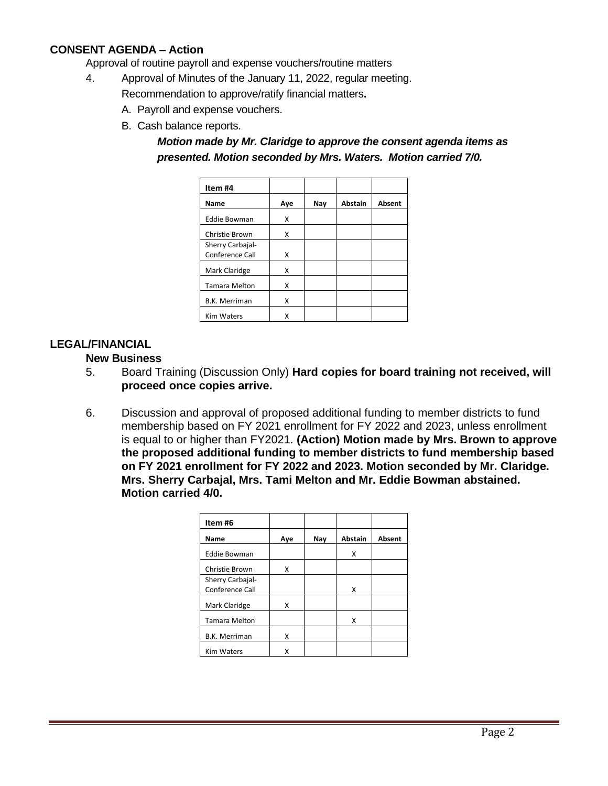## **CONSENT AGENDA – Action**

Approval of routine payroll and expense vouchers/routine matters

- 4. Approval of Minutes of the January 11, 2022, regular meeting.
	- Recommendation to approve/ratify financial matters**.**
		- A. Payroll and expense vouchers.
		- B. Cash balance reports.

*Motion made by Mr. Claridge to approve the consent agenda items as presented. Motion seconded by Mrs. Waters. Motion carried 7/0.*

| Item #4              |     |     |                |               |
|----------------------|-----|-----|----------------|---------------|
| Name                 | Aye | Nay | <b>Abstain</b> | <b>Absent</b> |
| <b>Eddie Bowman</b>  | x   |     |                |               |
| Christie Brown       | x   |     |                |               |
| Sherry Carbajal-     |     |     |                |               |
| Conference Call      | x   |     |                |               |
| Mark Claridge        | x   |     |                |               |
| <b>Tamara Melton</b> | x   |     |                |               |
| <b>B.K. Merriman</b> | x   |     |                |               |
| <b>Kim Waters</b>    | x   |     |                |               |

### **LEGAL/FINANCIAL**

#### **New Business**

- 5. Board Training (Discussion Only) **Hard copies for board training not received, will proceed once copies arrive.**
- 6. Discussion and approval of proposed additional funding to member districts to fund membership based on FY 2021 enrollment for FY 2022 and 2023, unless enrollment is equal to or higher than FY2021. **(Action) Motion made by Mrs. Brown to approve the proposed additional funding to member districts to fund membership based on FY 2021 enrollment for FY 2022 and 2023. Motion seconded by Mr. Claridge. Mrs. Sherry Carbajal, Mrs. Tami Melton and Mr. Eddie Bowman abstained. Motion carried 4/0.**

| Item#6                              |     |     |                |        |
|-------------------------------------|-----|-----|----------------|--------|
| <b>Name</b>                         | Aye | Nay | <b>Abstain</b> | Absent |
| <b>Eddie Bowman</b>                 |     |     | x              |        |
| Christie Brown                      | x   |     |                |        |
| Sherry Carbajal-<br>Conference Call |     |     | x              |        |
| Mark Claridge                       | x   |     |                |        |
| <b>Tamara Melton</b>                |     |     | X              |        |
| <b>B.K. Merriman</b>                | x   |     |                |        |
| <b>Kim Waters</b>                   | x   |     |                |        |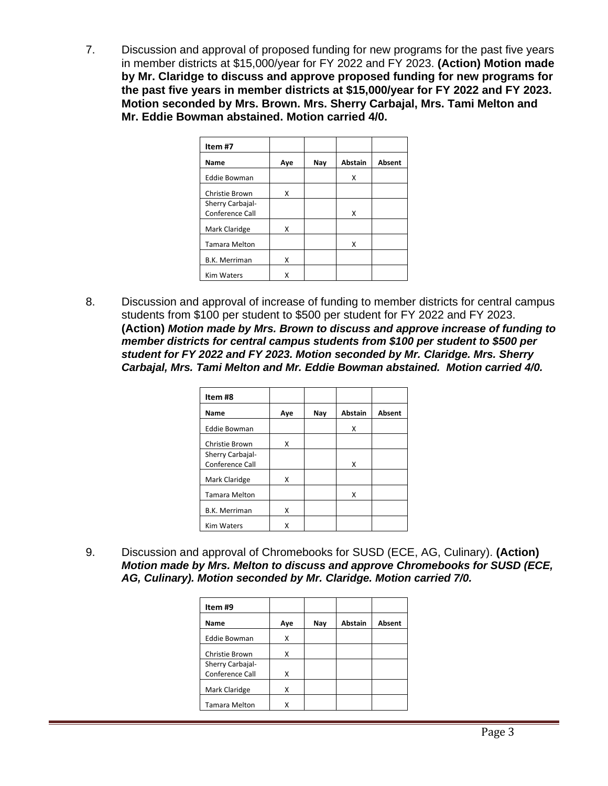7. Discussion and approval of proposed funding for new programs for the past five years in member districts at \$15,000/year for FY 2022 and FY 2023. **(Action) Motion made by Mr. Claridge to discuss and approve proposed funding for new programs for the past five years in member districts at \$15,000/year for FY 2022 and FY 2023. Motion seconded by Mrs. Brown. Mrs. Sherry Carbajal, Mrs. Tami Melton and Mr. Eddie Bowman abstained. Motion carried 4/0.**

| Item#7                              |     |     |                |        |
|-------------------------------------|-----|-----|----------------|--------|
| <b>Name</b>                         | Aye | Nay | <b>Abstain</b> | Absent |
| <b>Eddie Bowman</b>                 |     |     | X              |        |
| Christie Brown                      | x   |     |                |        |
| Sherry Carbajal-<br>Conference Call |     |     | X              |        |
| Mark Claridge                       | x   |     |                |        |
| <b>Tamara Melton</b>                |     |     | x              |        |
| <b>B.K. Merriman</b>                | x   |     |                |        |
| <b>Kim Waters</b>                   | x   |     |                |        |

8. Discussion and approval of increase of funding to member districts for central campus students from \$100 per student to \$500 per student for FY 2022 and FY 2023. **(Action)** *Motion made by Mrs. Brown to discuss and approve increase of funding to member districts for central campus students from \$100 per student to \$500 per student for FY 2022 and FY 2023. Motion seconded by Mr. Claridge. Mrs. Sherry Carbajal, Mrs. Tami Melton and Mr. Eddie Bowman abstained. Motion carried 4/0.*

| Item#8               |     |     |                |        |
|----------------------|-----|-----|----------------|--------|
| <b>Name</b>          | Aye | Nay | <b>Abstain</b> | Absent |
| <b>Eddie Bowman</b>  |     |     | x              |        |
| Christie Brown       | x   |     |                |        |
| Sherry Carbajal-     |     |     |                |        |
| Conference Call      |     |     | X              |        |
| Mark Claridge        | x   |     |                |        |
| <b>Tamara Melton</b> |     |     | x              |        |
| <b>B.K. Merriman</b> | x   |     |                |        |
| <b>Kim Waters</b>    | x   |     |                |        |

9. Discussion and approval of Chromebooks for SUSD (ECE, AG, Culinary). **(Action)** *Motion made by Mrs. Melton to discuss and approve Chromebooks for SUSD (ECE, AG, Culinary). Motion seconded by Mr. Claridge. Motion carried 7/0.*

| Item #9              |     |     |         |        |
|----------------------|-----|-----|---------|--------|
| Name                 | Aye | Nay | Abstain | Absent |
| <b>Eddie Bowman</b>  | Χ   |     |         |        |
| Christie Brown       | x   |     |         |        |
| Sherry Carbajal-     |     |     |         |        |
| Conference Call      | x   |     |         |        |
| Mark Claridge        | χ   |     |         |        |
| <b>Tamara Melton</b> |     |     |         |        |